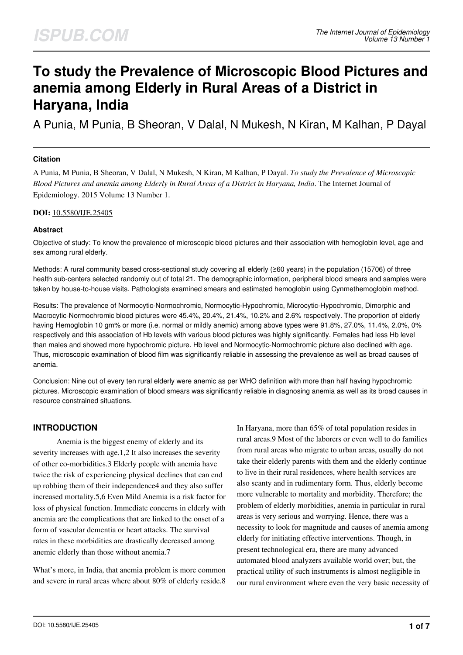# **To study the Prevalence of Microscopic Blood Pictures and anemia among Elderly in Rural Areas of a District in Haryana, India**

A Punia, M Punia, B Sheoran, V Dalal, N Mukesh, N Kiran, M Kalhan, P Dayal

## **Citation**

A Punia, M Punia, B Sheoran, V Dalal, N Mukesh, N Kiran, M Kalhan, P Dayal. *To study the Prevalence of Microscopic Blood Pictures and anemia among Elderly in Rural Areas of a District in Haryana, India*. The Internet Journal of Epidemiology. 2015 Volume 13 Number 1.

#### **DOI:** [10.5580/IJE.25405](https://ispub.com/doi/10.5580/IJE.25405)

# **Abstract**

Objective of study: To know the prevalence of microscopic blood pictures and their association with hemoglobin level, age and sex among rural elderly.

Methods: A rural community based cross-sectional study covering all elderly (≥60 years) in the population (15706) of three health sub-centers selected randomly out of total 21. The demographic information, peripheral blood smears and samples were taken by house-to-house visits. Pathologists examined smears and estimated hemoglobin using Cynmethemoglobin method.

Results: The prevalence of Normocytic-Normochromic, Normocytic-Hypochromic, Microcytic-Hypochromic, Dimorphic and Macrocytic-Normochromic blood pictures were 45.4%, 20.4%, 21.4%, 10.2% and 2.6% respectively. The proportion of elderly having Hemoglobin 10 gm% or more (i.e. normal or mildly anemic) among above types were 91.8%, 27.0%, 11.4%, 2.0%, 0% respectively and this association of Hb levels with various blood pictures was highly significantly. Females had less Hb level than males and showed more hypochromic picture. Hb level and Normocytic-Normochromic picture also declined with age. Thus, microscopic examination of blood film was significantly reliable in assessing the prevalence as well as broad causes of anemia.

Conclusion: Nine out of every ten rural elderly were anemic as per WHO definition with more than half having hypochromic pictures. Microscopic examination of blood smears was significantly reliable in diagnosing anemia as well as its broad causes in resource constrained situations.

# **INTRODUCTION**

 Anemia is the biggest enemy of elderly and its severity increases with age.1,2 It also increases the severity of other co-morbidities.3 Elderly people with anemia have twice the risk of experiencing physical declines that can end up robbing them of their independence4 and they also suffer increased mortality.5,6 Even Mild Anemia is a risk factor for loss of physical function. Immediate concerns in elderly with anemia are the complications that are linked to the onset of a form of vascular dementia or heart attacks. The survival rates in these morbidities are drastically decreased among anemic elderly than those without anemia.7

What's more, in India, that anemia problem is more common and severe in rural areas where about 80% of elderly reside.8 In Haryana, more than 65% of total population resides in rural areas.9 Most of the laborers or even well to do families from rural areas who migrate to urban areas, usually do not take their elderly parents with them and the elderly continue to live in their rural residences, where health services are also scanty and in rudimentary form. Thus, elderly become more vulnerable to mortality and morbidity. Therefore; the problem of elderly morbidities, anemia in particular in rural areas is very serious and worrying. Hence, there was a necessity to look for magnitude and causes of anemia among elderly for initiating effective interventions. Though, in present technological era, there are many advanced automated blood analyzers available world over; but, the practical utility of such instruments is almost negligible in our rural environment where even the very basic necessity of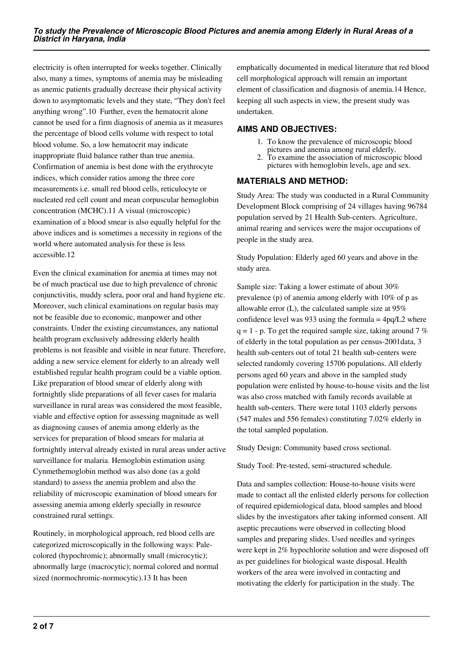electricity is often interrupted for weeks together. Clinically also, many a times, symptoms of anemia may be misleading as anemic patients gradually decrease their physical activity down to asymptomatic levels and they state, "They don't feel anything wrong".10 Further, even the hematocrit alone cannot be used for a firm diagnosis of anemia as it measures the percentage of blood cells volume with respect to total blood volume. So, a low hematocrit may indicate inappropriate fluid balance rather than true anemia. Confirmation of anemia is best done with the erythrocyte indices, which consider ratios among the three core measurements i.e. small red blood cells, reticulocyte or nucleated red cell count and mean corpuscular hemoglobin concentration (MCHC).11 A visual (microscopic) examination of a blood smear is also equally helpful for the above indices and is sometimes a necessity in regions of the world where automated analysis for these is less accessible.12

Even the clinical examination for anemia at times may not be of much practical use due to high prevalence of chronic conjunctivitis, muddy sclera, poor oral and hand hygiene etc. Moreover, such clinical examinations on regular basis may not be feasible due to economic, manpower and other constraints. Under the existing circumstances, any national health program exclusively addressing elderly health problems is not feasible and visible in near future. Therefore, adding a new service element for elderly to an already well established regular health program could be a viable option. Like preparation of blood smear of elderly along with fortnightly slide preparations of all fever cases for malaria surveillance in rural areas was considered the most feasible, viable and effective option for assessing magnitude as well as diagnosing causes of anemia among elderly as the services for preparation of blood smears for malaria at fortnightly interval already existed in rural areas under active surveillance for malaria. Hemoglobin estimation using Cynmethemoglobin method was also done (as a gold standard) to assess the anemia problem and also the reliability of microscopic examination of blood smears for assessing anemia among elderly specially in resource constrained rural settings.

Routinely, in morphological approach, red blood cells are categorized microscopically in the following ways: Palecolored (hypochromic); abnormally small (microcytic); abnormally large (macrocytic); normal colored and normal sized (normochromic-normocytic).13 It has been

emphatically documented in medical literature that red blood cell morphological approach will remain an important element of classification and diagnosis of anemia.14 Hence, keeping all such aspects in view, the present study was undertaken.

# **AIMS AND OBJECTIVES:**

- 1. To know the prevalence of microscopic blood pictures and anemia among rural elderly.
- 2. To examine the association of microscopic blood pictures with hemoglobin levels, age and sex.

# **MATERIALS AND METHOD:**

Study Area: The study was conducted in a Rural Community Development Block comprising of 24 villages having 96784 population served by 21 Health Sub-centers. Agriculture, animal rearing and services were the major occupations of people in the study area.

Study Population: Elderly aged 60 years and above in the study area.

Sample size: Taking a lower estimate of about 30% prevalence (p) of anemia among elderly with 10% of p as allowable error (L), the calculated sample size at 95% confidence level was 933 using the formula  $= 4pq/L2$  where  $q = 1$  - p. To get the required sample size, taking around 7 % of elderly in the total population as per census-2001data, 3 health sub-centers out of total 21 health sub-centers were selected randomly covering 15706 populations. All elderly persons aged 60 years and above in the sampled study population were enlisted by house-to-house visits and the list was also cross matched with family records available at health sub-centers. There were total 1103 elderly persons (547 males and 556 females) constituting 7.02% elderly in the total sampled population.

Study Design: Community based cross sectional.

Study Tool: Pre-tested, semi-structured schedule.

Data and samples collection: House-to-house visits were made to contact all the enlisted elderly persons for collection of required epidemiological data, blood samples and blood slides by the investigators after taking informed consent. All aseptic precautions were observed in collecting blood samples and preparing slides. Used needles and syringes were kept in 2% hypochlorite solution and were disposed off as per guidelines for biological waste disposal. Health workers of the area were involved in contacting and motivating the elderly for participation in the study. The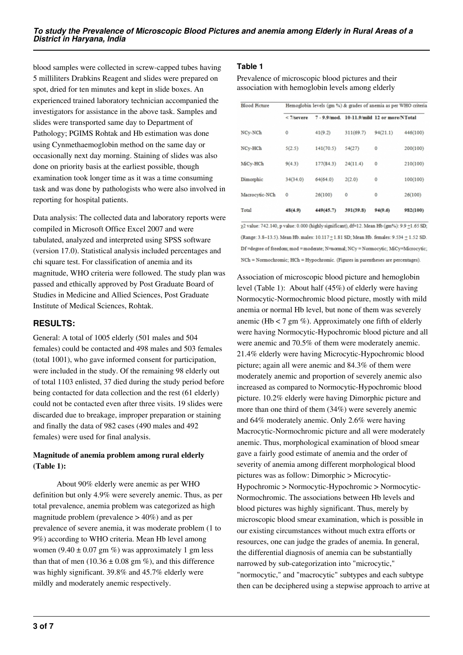blood samples were collected in screw-capped tubes having 5 milliliters Drabkins Reagent and slides were prepared on spot, dried for ten minutes and kept in slide boxes. An experienced trained laboratory technician accompanied the investigators for assistance in the above task. Samples and slides were transported same day to Department of Pathology; PGIMS Rohtak and Hb estimation was done using Cynmethaemoglobin method on the same day or occasionally next day morning. Staining of slides was also done on priority basis at the earliest possible, though examination took longer time as it was a time consuming task and was done by pathologists who were also involved in reporting for hospital patients.

Data analysis: The collected data and laboratory reports were compiled in Microsoft Office Excel 2007 and were tabulated, analyzed and interpreted using SPSS software (version 17.0). Statistical analysis included percentages and chi square test. For classification of anemia and its magnitude, WHO criteria were followed. The study plan was passed and ethically approved by Post Graduate Board of Studies in Medicine and Allied Sciences, Post Graduate Institute of Medical Sciences, Rohtak.

# **RESULTS:**

General: A total of 1005 elderly (501 males and 504 females) could be contacted and 498 males and 503 females (total 1001), who gave informed consent for participation, were included in the study. Of the remaining 98 elderly out of total 1103 enlisted, 37 died during the study period before being contacted for data collection and the rest (61 elderly) could not be contacted even after three visits. 19 slides were discarded due to breakage, improper preparation or staining and finally the data of 982 cases (490 males and 492 females) were used for final analysis.

# **Magnitude of anemia problem among rural elderly (Table 1):**

 About 90% elderly were anemic as per WHO definition but only 4.9% were severely anemic. Thus, as per total prevalence, anemia problem was categorized as high magnitude problem (prevalence  $> 40\%$ ) and as per prevalence of severe anemia, it was moderate problem (1 to 9%) according to WHO criteria. Mean Hb level among women (9.40  $\pm$  0.07 gm %) was approximately 1 gm less than that of men (10.36  $\pm$  0.08 gm %), and this difference was highly significant. 39.8% and 45.7% elderly were mildly and moderately anemic respectively.

# **Table 1**

Prevalence of microscopic blood pictures and their association with hemoglobin levels among elderly

| <b>Blood Picture</b> | Hemoglobin levels (gm %) & grades of anemia as per WHO criteria |           |                                             |          |          |  |  |
|----------------------|-----------------------------------------------------------------|-----------|---------------------------------------------|----------|----------|--|--|
|                      | $<$ 7/severe                                                    |           | 7 - 9.9/mod. 10-11.9/mild 12 or more/NTotal |          |          |  |  |
| NCv-NCh              | 0                                                               | 41(9.2)   | 311(69.7)                                   | 94(21.1) | 446(100) |  |  |
| NCy-HCh              | 5(2.5)                                                          | 141(70.5) | 54(27)                                      | 0        | 200(100) |  |  |
| MiCy-HCh             | 9(4.3)                                                          | 177(84.3) | 24(11.4)                                    | 0        | 210(100) |  |  |
| Dimorphic            | 34(34.0)                                                        | 64(64.0)  | 2(2.0)                                      | 0        | 100(100) |  |  |
| Macrocytic-NCh       | $\circ$                                                         | 26(100)   | $\mathbf 0$                                 | 0        | 26(100)  |  |  |
| Total                | 48(4.9)                                                         | 449(45.7) | 391(39.8)                                   | 94(9.6)  | 982(100) |  |  |

72 value: 742.140, p value: 0.000 (highly significant), df=12. Mean Hb (gm%): 9.9 ±1.65 SD; (Range: 3.8-13.5). Mean Hb. males: 10.117 + 1.81 SD; Mean Hb. females: 9.534 + 1.52 SD. Df =degree of freedom; mod = moderate; N=normal; NCy = Normocytic; MiCy=Microcytic; NCh = Normochromic; HCh = Hypochromic. (Figures in parentheses are percentages).

Association of microscopic blood picture and hemoglobin level (Table 1): About half (45%) of elderly were having Normocytic-Normochromic blood picture, mostly with mild anemia or normal Hb level, but none of them was severely anemic (Hb  $<$  7 gm %). Approximately one fifth of elderly were having Normocytic-Hypochromic blood picture and all were anemic and 70.5% of them were moderately anemic. 21.4% elderly were having Microcytic-Hypochromic blood picture; again all were anemic and 84.3% of them were moderately anemic and proportion of severely anemic also increased as compared to Normocytic-Hypochromic blood picture. 10.2% elderly were having Dimorphic picture and more than one third of them (34%) were severely anemic and 64% moderately anemic. Only 2.6% were having Macrocytic-Normochromic picture and all were moderately anemic. Thus, morphological examination of blood smear gave a fairly good estimate of anemia and the order of severity of anemia among different morphological blood pictures was as follow: Dimorphic > Microcytic-Hypochromic > Normocytic-Hypochromic > Normocytic-Normochromic. The associations between Hb levels and blood pictures was highly significant. Thus, merely by microscopic blood smear examination, which is possible in our existing circumstances without much extra efforts or resources, one can judge the grades of anemia. In general, the differential diagnosis of anemia can be substantially narrowed by sub-categorization into "microcytic," "normocytic," and "macrocytic" subtypes and each subtype then can be deciphered using a stepwise approach to arrive at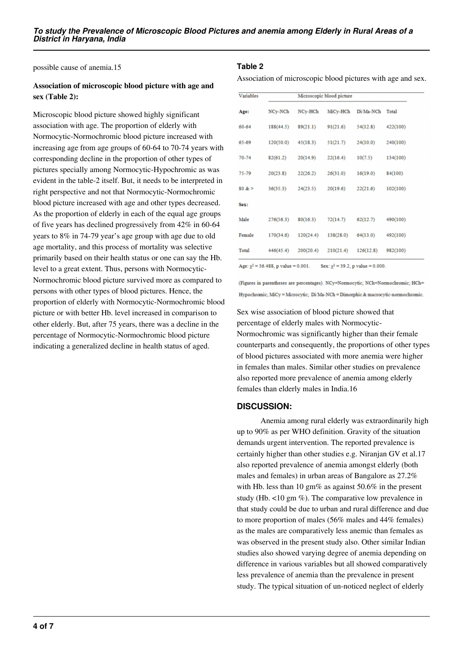possible cause of anemia.15

# **Association of microscopic blood picture with age and sex (Table 2):**

Microscopic blood picture showed highly significant association with age. The proportion of elderly with Normocytic-Normochromic blood picture increased with increasing age from age groups of 60-64 to 70-74 years with corresponding decline in the proportion of other types of pictures specially among Normocytic-Hypochromic as was evident in the table-2 itself. But, it needs to be interpreted in right perspective and not that Normocytic-Normochromic blood picture increased with age and other types decreased. As the proportion of elderly in each of the equal age groups of five years has declined progressively from 42% in 60-64 years to 8% in 74-79 year's age group with age due to old age mortality, and this process of mortality was selective primarily based on their health status or one can say the Hb. level to a great extent. Thus, persons with Normocytic-Normochromic blood picture survived more as compared to persons with other types of blood pictures. Hence, the proportion of elderly with Normocytic-Normochromic blood picture or with better Hb. level increased in comparison to other elderly. But, after 75 years, there was a decline in the percentage of Normocytic-Normochromic blood picture indicating a generalized decline in health status of aged.

#### **Table 2**

Association of microscopic blood pictures with age and sex.

| Variables | Microscopic blood picture |           |           |           |          |  |  |
|-----------|---------------------------|-----------|-----------|-----------|----------|--|--|
| Age:      | NCy-NCh                   | NCy-HCh   | MiCy-HCh  | Di/Ma-NCh | Total    |  |  |
| $60 - 64$ | 188(44.5)                 | 89(21.1)  | 91(21.6)  | 54(12.8)  | 422(100) |  |  |
| 65-69     | 120(50.0)                 | 45(18.3)  | 51(21.7)  | 24(10.0)  | 240(100) |  |  |
| $70 - 74$ | 82(61.2)                  | 20(14.9)  | 22(16.4)  | 10(7.5)   | 134(100) |  |  |
| 75-79     | 20(23.8)                  | 22(26.2)  | 26(31.0)  | 16(19.0)  | 84(100)  |  |  |
| $80 & =$  | 36(35.3)                  | 24(23.5)  | 20(19.6)  | 22(21.6)  | 102(100) |  |  |
| Sex:      |                           |           |           |           |          |  |  |
| Male      | 276(56.3)                 | 80(16.3)  | 72(14.7)  | 62(12.7)  | 490(100) |  |  |
| Female    | 170(34.6)                 | 120(24.4) | 138(28.0) | 64(13.0)  | 492(100) |  |  |
| Total     | 446(45.4)                 | 200(20.4) | 210(21.4) | 126(12.8) | 982(100) |  |  |

Age:  $\chi^2$  = 36.488, p value = 0.001. Sex:  $\chi^2$  = 39.2, p value = 0.000.

(Figures in parentheses are percentages). NCy=Normocytic; NCh=Normochromic; HCh= Hypochromic; MiCy = Microcytic; Di/Ma-NCh = Dimorphic & macrocytic-normochromic.

Sex wise association of blood picture showed that percentage of elderly males with Normocytic-Normochromic was significantly higher than their female counterparts and consequently, the proportions of other types of blood pictures associated with more anemia were higher in females than males. Similar other studies on prevalence also reported more prevalence of anemia among elderly females than elderly males in India.16

#### **DISCUSSION:**

 Anemia among rural elderly was extraordinarily high up to 90% as per WHO definition. Gravity of the situation demands urgent intervention. The reported prevalence is certainly higher than other studies e.g. Niranjan GV et al.17 also reported prevalence of anemia amongst elderly (both males and females) in urban areas of Bangalore as 27.2% with Hb. less than 10 gm% as against  $50.6\%$  in the present study (Hb.  $\lt 10$  gm %). The comparative low prevalence in that study could be due to urban and rural difference and due to more proportion of males (56% males and 44% females) as the males are comparatively less anemic than females as was observed in the present study also. Other similar Indian studies also showed varying degree of anemia depending on difference in various variables but all showed comparatively less prevalence of anemia than the prevalence in present study. The typical situation of un-noticed neglect of elderly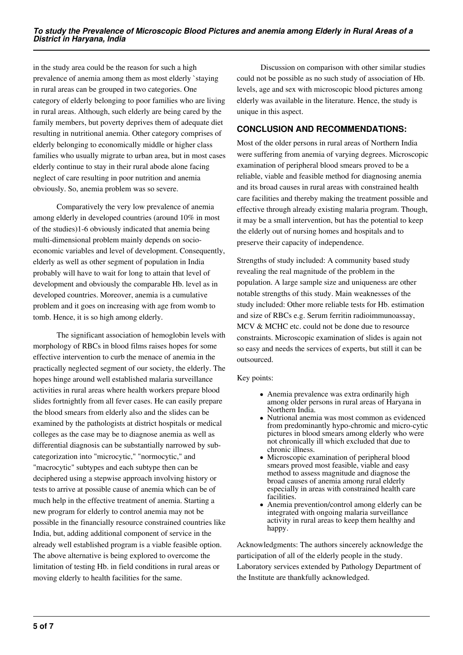in the study area could be the reason for such a high prevalence of anemia among them as most elderly `staying in rural areas can be grouped in two categories. One category of elderly belonging to poor families who are living in rural areas. Although, such elderly are being cared by the family members, but poverty deprives them of adequate diet resulting in nutritional anemia. Other category comprises of elderly belonging to economically middle or higher class families who usually migrate to urban area, but in most cases elderly continue to stay in their rural abode alone facing neglect of care resulting in poor nutrition and anemia obviously. So, anemia problem was so severe.

 Comparatively the very low prevalence of anemia among elderly in developed countries (around 10% in most of the studies)1-6 obviously indicated that anemia being multi-dimensional problem mainly depends on socioeconomic variables and level of development. Consequently, elderly as well as other segment of population in India probably will have to wait for long to attain that level of development and obviously the comparable Hb. level as in developed countries. Moreover, anemia is a cumulative problem and it goes on increasing with age from womb to tomb. Hence, it is so high among elderly.

 The significant association of hemoglobin levels with morphology of RBCs in blood films raises hopes for some effective intervention to curb the menace of anemia in the practically neglected segment of our society, the elderly. The hopes hinge around well established malaria surveillance activities in rural areas where health workers prepare blood slides fortnightly from all fever cases. He can easily prepare the blood smears from elderly also and the slides can be examined by the pathologists at district hospitals or medical colleges as the case may be to diagnose anemia as well as differential diagnosis can be substantially narrowed by subcategorization into "microcytic," "normocytic," and "macrocytic" subtypes and each subtype then can be deciphered using a stepwise approach involving history or tests to arrive at possible cause of anemia which can be of much help in the effective treatment of anemia. Starting a new program for elderly to control anemia may not be possible in the financially resource constrained countries like India, but, adding additional component of service in the already well established program is a viable feasible option. The above alternative is being explored to overcome the limitation of testing Hb. in field conditions in rural areas or moving elderly to health facilities for the same.

 Discussion on comparison with other similar studies could not be possible as no such study of association of Hb. levels, age and sex with microscopic blood pictures among elderly was available in the literature. Hence, the study is unique in this aspect.

# **CONCLUSION AND RECOMMENDATIONS:**

Most of the older persons in rural areas of Northern India were suffering from anemia of varying degrees. Microscopic examination of peripheral blood smears proved to be a reliable, viable and feasible method for diagnosing anemia and its broad causes in rural areas with constrained health care facilities and thereby making the treatment possible and effective through already existing malaria program. Though, it may be a small intervention, but has the potential to keep the elderly out of nursing homes and hospitals and to preserve their capacity of independence.

Strengths of study included: A community based study revealing the real magnitude of the problem in the population. A large sample size and uniqueness are other notable strengths of this study. Main weaknesses of the study included: Other more reliable tests for Hb. estimation and size of RBCs e.g. Serum ferritin radioimmunoassay, MCV & MCHC etc. could not be done due to resource constraints. Microscopic examination of slides is again not so easy and needs the services of experts, but still it can be outsourced.

#### Key points:

- Anemia prevalence was extra ordinarily high among older persons in rural areas of Haryana in Northern India.
- Nutrional anemia was most common as evidenced from predominantly hypo-chromic and micro-cytic pictures in blood smears among elderly who were not chronically ill which excluded that due to chronic illness.
- Microscopic examination of peripheral blood smears proved most feasible, viable and easy method to assess magnitude and diagnose the broad causes of anemia among rural elderly especially in areas with constrained health care facilities.
- Anemia prevention/control among elderly can be integrated with ongoing malaria surveillance activity in rural areas to keep them healthy and happy.

Acknowledgments: The authors sincerely acknowledge the participation of all of the elderly people in the study. Laboratory services extended by Pathology Department of the Institute are thankfully acknowledged.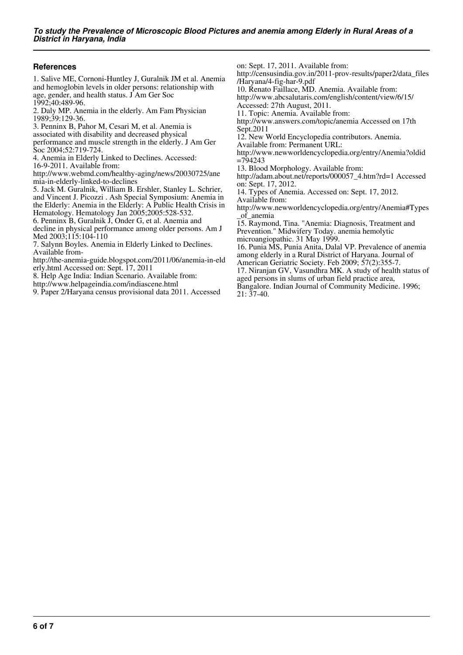## **References**

1. Salive ME, Cornoni-Huntley J, Guralnik JM et al. Anemia and hemoglobin levels in older persons: relationship with age, gender, and health status. J Am Ger Soc 1992;40:489-96.

2. Daly MP. Anemia in the elderly. Am Fam Physician 1989;39:129-36.

3. Penninx B, Pahor M, Cesari M, et al. Anemia is

associated with disability and decreased physical

performance and muscle strength in the elderly. J Am Ger Soc 2004;52:719-724.

4. Anemia in Elderly Linked to Declines. Accessed:

16-9-2011. Available from:

http://www.webmd.com/healthy-aging/news/20030725/ane mia-in-elderly-linked-to-declines

5. Jack M. Guralnik, William B. Ershler, Stanley L. Schrier, and Vincent J. Picozzi . Ash Special Symposium: Anemia in the Elderly: Anemia in the Elderly: A Public Health Crisis in Hematology. Hematology Jan 2005;2005:528-532.

6. Penninx B, Guralnik J, Onder G, et al. Anemia and

decline in physical performance among older persons. Am J Med 2003;115:104-110

7. Salynn Boyles. Anemia in Elderly Linked to Declines. Available from-

http://the-anemia-guide.blogspot.com/2011/06/anemia-in-eld erly.html Accessed on: Sept. 17, 2011

8. Help Age India: Indian Scenario. Available from:

http://www.helpageindia.com/indiascene.html

9. Paper 2/Haryana census provisional data 2011. Accessed

on: Sept. 17, 2011. Available from:

http://censusindia.gov.in/2011-prov-results/paper2/data\_files /Haryana/4-fig-har-9.pdf

10. Renato Faillace, MD. Anemia. Available from:

http://www.abcsalutaris.com/english/content/view/6/15/ Accessed: 27th August, 2011.

11. Topic: Anemia. Available from:

http://www.answers.com/topic/anemia Accessed on 17th Sept.2011

12. New World Encyclopedia contributors. Anemia.

Available from: Permanent URL:

http://www.newworldencyclopedia.org/entry/Anemia?oldid  $=794243$ 

13. Blood Morphology. Available from:

http://adam.about.net/reports/000057\_4.htm?rd=1 Accessed on: Sept. 17, 2012.

14. Types of Anemia. Accessed on: Sept. 17, 2012. Available from:

http://www.newworldencyclopedia.org/entry/Anemia#Types \_of\_anemia

15. Raymond, Tina. "Anemia: Diagnosis, Treatment and Prevention." Midwifery Today. anemia hemolytic microangiopathic. 31 May 1999.

16. Punia MS, Punia Anita, Dalal VP. Prevalence of anemia among elderly in a Rural District of Haryana. Journal of

American Geriatric Society. Feb 2009; 57(2):355-7.

17. Niranjan GV, Vasundhra MK. A study of health status of aged persons in slums of urban field practice area,

Bangalore. Indian Journal of Community Medicine. 1996; 21: 37-40.